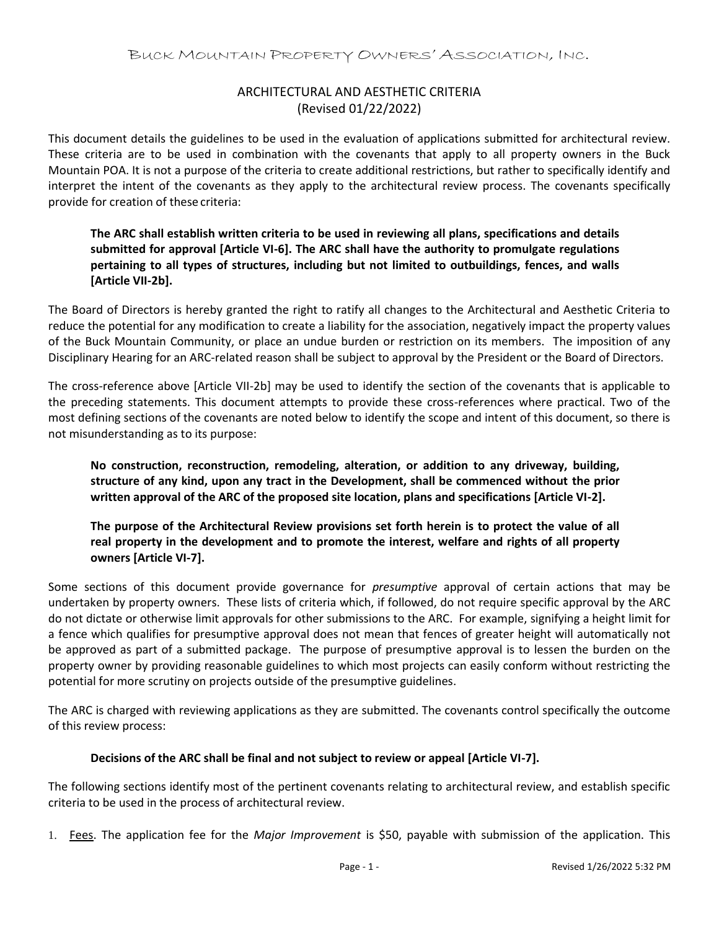## ARCHITECTURAL AND AESTHETIC CRITERIA (Revised 01/22/2022)

This document details the guidelines to be used in the evaluation of applications submitted for architectural review. These criteria are to be used in combination with the covenants that apply to all property owners in the Buck Mountain POA. It is not a purpose of the criteria to create additional restrictions, but rather to specifically identify and interpret the intent of the covenants as they apply to the architectural review process. The covenants specifically provide for creation of these criteria:

## **The ARC shall establish written criteria to be used in reviewing all plans, specifications and details submitted for approval [Article VI-6]. The ARC shall have the authority to promulgate regulations pertaining to all types of structures, including but not limited to outbuildings, fences, and walls [Article VII-2b].**

The Board of Directors is hereby granted the right to ratify all changes to the Architectural and Aesthetic Criteria to reduce the potential for any modification to create a liability for the association, negatively impact the property values of the Buck Mountain Community, or place an undue burden or restriction on its members. The imposition of any Disciplinary Hearing for an ARC-related reason shall be subject to approval by the President or the Board of Directors.

The cross-reference above [Article VII-2b] may be used to identify the section of the covenants that is applicable to the preceding statements. This document attempts to provide these cross-references where practical. Two of the most defining sections of the covenants are noted below to identify the scope and intent of this document, so there is not misunderstanding as to its purpose:

**No construction, reconstruction, remodeling, alteration, or addition to any driveway, building, structure of any kind, upon any tract in the Development, shall be commenced without the prior written approval of the ARC of the proposed site location, plans and specifications [Article VI-2].**

**The purpose of the Architectural Review provisions set forth herein is to protect the value of all real property in the development and to promote the interest, welfare and rights of all property owners [Article VI-7].**

Some sections of this document provide governance for *presumptive* approval of certain actions that may be undertaken by property owners. These lists of criteria which, if followed, do not require specific approval by the ARC do not dictate or otherwise limit approvals for other submissions to the ARC. For example, signifying a height limit for a fence which qualifies for presumptive approval does not mean that fences of greater height will automatically not be approved as part of a submitted package. The purpose of presumptive approval is to lessen the burden on the property owner by providing reasonable guidelines to which most projects can easily conform without restricting the potential for more scrutiny on projects outside of the presumptive guidelines.

The ARC is charged with reviewing applications as they are submitted. The covenants control specifically the outcome of this review process:

## **Decisions of the ARC shall be final and not subject to review or appeal [Article VI-7].**

The following sections identify most of the pertinent covenants relating to architectural review, and establish specific criteria to be used in the process of architectural review.

1. Fees. The application fee for the *Major Improvement* is \$50, payable with submission of the application. This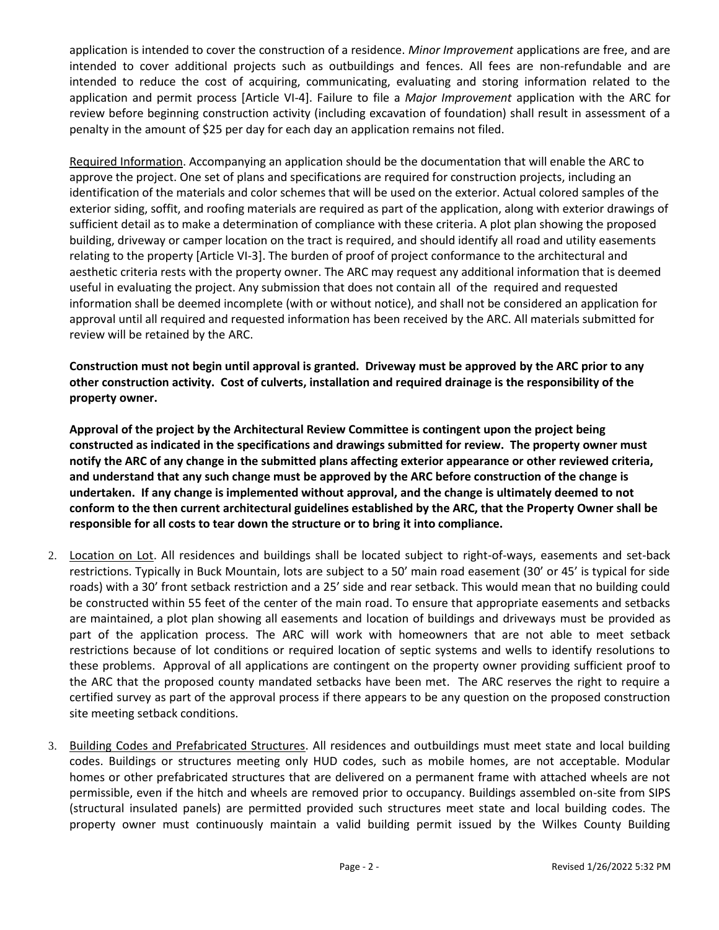application is intended to cover the construction of a residence. *Minor Improvement* applications are free, and are intended to cover additional projects such as outbuildings and fences. All fees are non-refundable and are intended to reduce the cost of acquiring, communicating, evaluating and storing information related to the application and permit process [Article VI-4]. Failure to file a *Major Improvement* application with the ARC for review before beginning construction activity (including excavation of foundation) shall result in assessment of a penalty in the amount of \$25 per day for each day an application remains not filed.

Required Information. Accompanying an application should be the documentation that will enable the ARC to approve the project. One set of plans and specifications are required for construction projects, including an identification of the materials and color schemes that will be used on the exterior. Actual colored samples of the exterior siding, soffit, and roofing materials are required as part of the application, along with exterior drawings of sufficient detail as to make a determination of compliance with these criteria. A plot plan showing the proposed building, driveway or camper location on the tract is required, and should identify all road and utility easements relating to the property [Article VI-3]. The burden of proof of project conformance to the architectural and aesthetic criteria rests with the property owner. The ARC may request any additional information that is deemed useful in evaluating the project. Any submission that does not contain all of the required and requested information shall be deemed incomplete (with or without notice), and shall not be considered an application for approval until all required and requested information has been received by the ARC. All materials submitted for review will be retained by the ARC.

**Construction must not begin until approval is granted. Driveway must be approved by the ARC prior to any other construction activity. Cost of culverts, installation and required drainage is the responsibility of the property owner.** 

**Approval of the project by the Architectural Review Committee is contingent upon the project being constructed as indicated in the specifications and drawings submitted for review. The property owner must notify the ARC of any change in the submitted plans affecting exterior appearance or other reviewed criteria, and understand that any such change must be approved by the ARC before construction of the change is undertaken. If any change is implemented without approval, and the change is ultimately deemed to not conform to the then current architectural guidelines established by the ARC, that the Property Owner shall be responsible for all costs to tear down the structure or to bring it into compliance.** 

- 2. Location on Lot. All residences and buildings shall be located subject to right-of-ways, easements and set-back restrictions. Typically in Buck Mountain, lots are subject to a 50' main road easement (30' or 45' is typical for side roads) with a 30' front setback restriction and a 25' side and rear setback. This would mean that no building could be constructed within 55 feet of the center of the main road. To ensure that appropriate easements and setbacks are maintained, a plot plan showing all easements and location of buildings and driveways must be provided as part of the application process. The ARC will work with homeowners that are not able to meet setback restrictions because of lot conditions or required location of septic systems and wells to identify resolutions to these problems. Approval of all applications are contingent on the property owner providing sufficient proof to the ARC that the proposed county mandated setbacks have been met. The ARC reserves the right to require a certified survey as part of the approval process if there appears to be any question on the proposed construction site meeting setback conditions.
- 3. Building Codes and Prefabricated Structures. All residences and outbuildings must meet state and local building codes. Buildings or structures meeting only HUD codes, such as mobile homes, are not acceptable. Modular homes or other prefabricated structures that are delivered on a permanent frame with attached wheels are not permissible, even if the hitch and wheels are removed prior to occupancy. Buildings assembled on-site from SIPS (structural insulated panels) are permitted provided such structures meet state and local building codes. The property owner must continuously maintain a valid building permit issued by the Wilkes County Building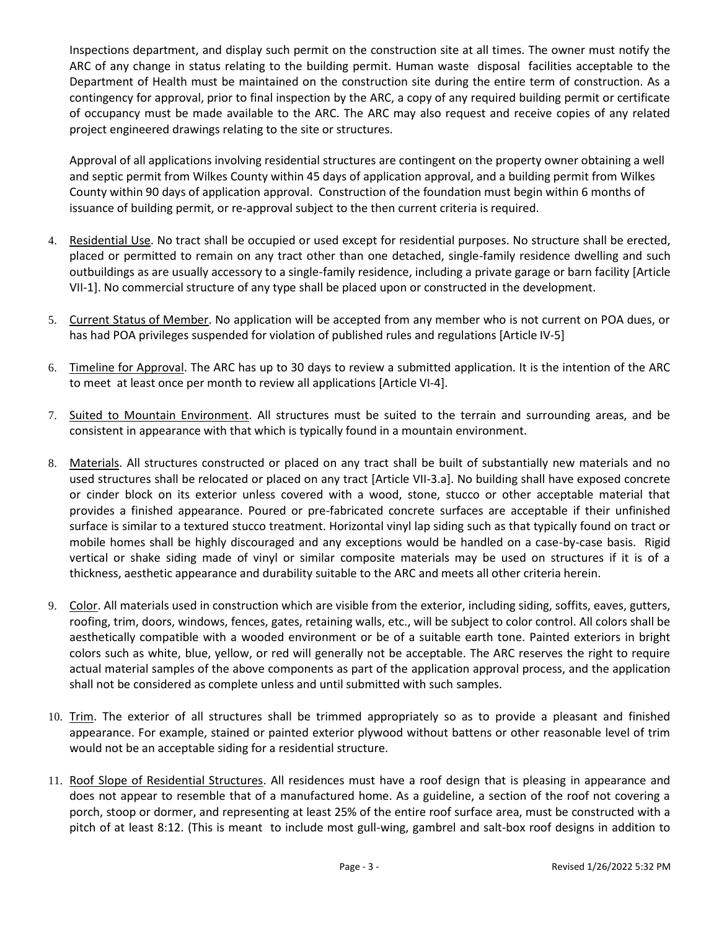Inspections department, and display such permit on the construction site at all times. The owner must notify the ARC of any change in status relating to the building permit. Human waste disposal facilities acceptable to the Department of Health must be maintained on the construction site during the entire term of construction. As a contingency for approval, prior to final inspection by the ARC, a copy of any required building permit or certificate of occupancy must be made available to the ARC. The ARC may also request and receive copies of any related project engineered drawings relating to the site or structures.

Approval of all applications involving residential structures are contingent on the property owner obtaining a well and septic permit from Wilkes County within 45 days of application approval, and a building permit from Wilkes County within 90 days of application approval. Construction of the foundation must begin within 6 months of issuance of building permit, or re-approval subject to the then current criteria is required.

- 4. Residential Use. No tract shall be occupied or used except for residential purposes. No structure shall be erected, placed or permitted to remain on any tract other than one detached, single-family residence dwelling and such outbuildings as are usually accessory to a single-family residence, including a private garage or barn facility [Article VII-1]. No commercial structure of any type shall be placed upon or constructed in the development.
- 5. Current Status of Member. No application will be accepted from any member who is not current on POA dues, or has had POA privileges suspended for violation of published rules and regulations [Article IV-5]
- 6. Timeline for Approval. The ARC has up to 30 days to review a submitted application. It is the intention of the ARC to meet at least once per month to review all applications [Article VI-4].
- 7. Suited to Mountain Environment. All structures must be suited to the terrain and surrounding areas, and be consistent in appearance with that which is typically found in a mountain environment.
- 8. Materials. All structures constructed or placed on any tract shall be built of substantially new materials and no used structures shall be relocated or placed on any tract [Article VII-3.a]. No building shall have exposed concrete or cinder block on its exterior unless covered with a wood, stone, stucco or other acceptable material that provides a finished appearance. Poured or pre-fabricated concrete surfaces are acceptable if their unfinished surface is similar to a textured stucco treatment. Horizontal vinyl lap siding such as that typically found on tract or mobile homes shall be highly discouraged and any exceptions would be handled on a case-by-case basis. Rigid vertical or shake siding made of vinyl or similar composite materials may be used on structures if it is of a thickness, aesthetic appearance and durability suitable to the ARC and meets all other criteria herein.
- 9. Color. All materials used in construction which are visible from the exterior, including siding, soffits, eaves, gutters, roofing, trim, doors, windows, fences, gates, retaining walls, etc., will be subject to color control. All colors shall be aesthetically compatible with a wooded environment or be of a suitable earth tone. Painted exteriors in bright colors such as white, blue, yellow, or red will generally not be acceptable. The ARC reserves the right to require actual material samples of the above components as part of the application approval process, and the application shall not be considered as complete unless and until submitted with such samples.
- 10. Trim. The exterior of all structures shall be trimmed appropriately so as to provide a pleasant and finished appearance. For example, stained or painted exterior plywood without battens or other reasonable level of trim would not be an acceptable siding for a residential structure.
- 11. Roof Slope of Residential Structures. All residences must have a roof design that is pleasing in appearance and does not appear to resemble that of a manufactured home. As a guideline, a section of the roof not covering a porch, stoop or dormer, and representing at least 25% of the entire roof surface area, must be constructed with a pitch of at least 8:12. (This is meant to include most gull-wing, gambrel and salt-box roof designs in addition to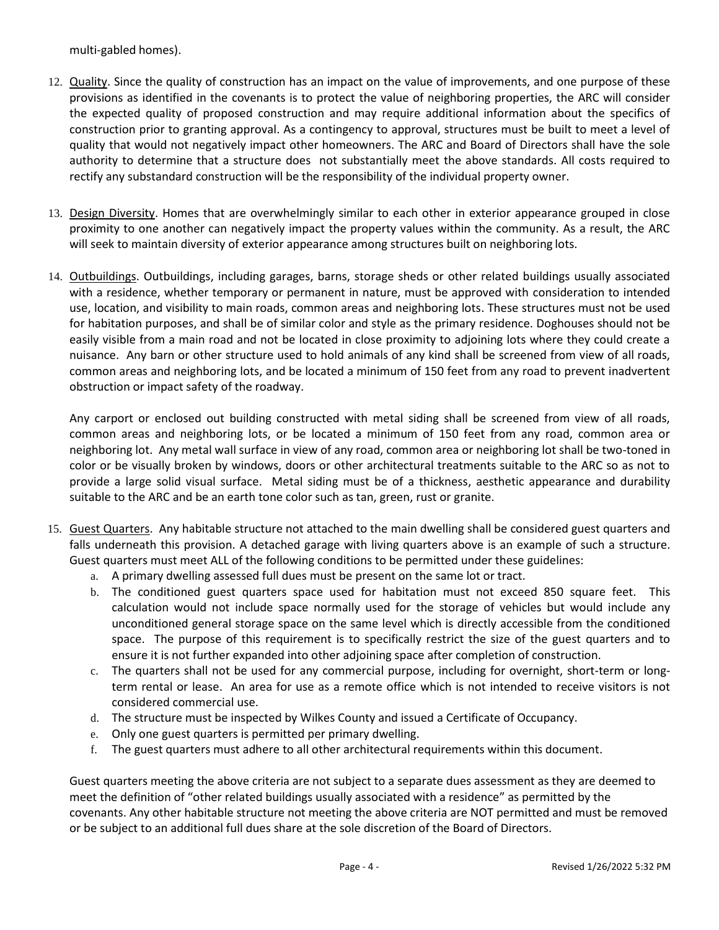multi-gabled homes).

- 12. Quality. Since the quality of construction has an impact on the value of improvements, and one purpose of these provisions as identified in the covenants is to protect the value of neighboring properties, the ARC will consider the expected quality of proposed construction and may require additional information about the specifics of construction prior to granting approval. As a contingency to approval, structures must be built to meet a level of quality that would not negatively impact other homeowners. The ARC and Board of Directors shall have the sole authority to determine that a structure does not substantially meet the above standards. All costs required to rectify any substandard construction will be the responsibility of the individual property owner.
- 13. Design Diversity. Homes that are overwhelmingly similar to each other in exterior appearance grouped in close proximity to one another can negatively impact the property values within the community. As a result, the ARC will seek to maintain diversity of exterior appearance among structures built on neighboring lots.
- 14. Outbuildings. Outbuildings, including garages, barns, storage sheds or other related buildings usually associated with a residence, whether temporary or permanent in nature, must be approved with consideration to intended use, location, and visibility to main roads, common areas and neighboring lots. These structures must not be used for habitation purposes, and shall be of similar color and style as the primary residence. Doghouses should not be easily visible from a main road and not be located in close proximity to adjoining lots where they could create a nuisance. Any barn or other structure used to hold animals of any kind shall be screened from view of all roads, common areas and neighboring lots, and be located a minimum of 150 feet from any road to prevent inadvertent obstruction or impact safety of the roadway.

Any carport or enclosed out building constructed with metal siding shall be screened from view of all roads, common areas and neighboring lots, or be located a minimum of 150 feet from any road, common area or neighboring lot. Any metal wall surface in view of any road, common area or neighboring lot shall be two-toned in color or be visually broken by windows, doors or other architectural treatments suitable to the ARC so as not to provide a large solid visual surface. Metal siding must be of a thickness, aesthetic appearance and durability suitable to the ARC and be an earth tone color such as tan, green, rust or granite.

- 15. Guest Quarters. Any habitable structure not attached to the main dwelling shall be considered guest quarters and falls underneath this provision. A detached garage with living quarters above is an example of such a structure. Guest quarters must meet ALL of the following conditions to be permitted under these guidelines:
	- a. A primary dwelling assessed full dues must be present on the same lot or tract.
	- b. The conditioned guest quarters space used for habitation must not exceed 850 square feet. This calculation would not include space normally used for the storage of vehicles but would include any unconditioned general storage space on the same level which is directly accessible from the conditioned space. The purpose of this requirement is to specifically restrict the size of the guest quarters and to ensure it is not further expanded into other adjoining space after completion of construction.
	- c. The quarters shall not be used for any commercial purpose, including for overnight, short-term or longterm rental or lease. An area for use as a remote office which is not intended to receive visitors is not considered commercial use.
	- d. The structure must be inspected by Wilkes County and issued a Certificate of Occupancy.
	- e. Only one guest quarters is permitted per primary dwelling.
	- f. The guest quarters must adhere to all other architectural requirements within this document.

Guest quarters meeting the above criteria are not subject to a separate dues assessment as they are deemed to meet the definition of "other related buildings usually associated with a residence" as permitted by the covenants. Any other habitable structure not meeting the above criteria are NOT permitted and must be removed or be subject to an additional full dues share at the sole discretion of the Board of Directors.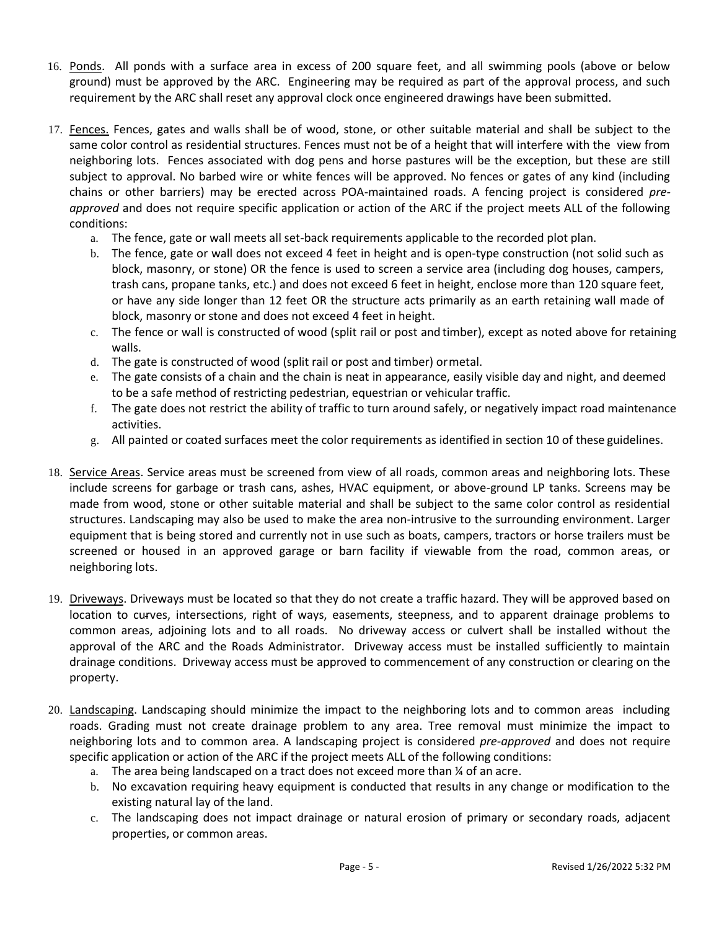- 16. Ponds. All ponds with a surface area in excess of 200 square feet, and all swimming pools (above or below ground) must be approved by the ARC. Engineering may be required as part of the approval process, and such requirement by the ARC shall reset any approval clock once engineered drawings have been submitted.
- 17. Fences. Fences, gates and walls shall be of wood, stone, or other suitable material and shall be subject to the same color control as residential structures. Fences must not be of a height that will interfere with the view from neighboring lots. Fences associated with dog pens and horse pastures will be the exception, but these are still subject to approval. No barbed wire or white fences will be approved. No fences or gates of any kind (including chains or other barriers) may be erected across POA-maintained roads. A fencing project is considered *preapproved* and does not require specific application or action of the ARC if the project meets ALL of the following conditions:
	- a. The fence, gate or wall meets all set-back requirements applicable to the recorded plot plan.
	- b. The fence, gate or wall does not exceed 4 feet in height and is open-type construction (not solid such as block, masonry, or stone) OR the fence is used to screen a service area (including dog houses, campers, trash cans, propane tanks, etc.) and does not exceed 6 feet in height, enclose more than 120 square feet, or have any side longer than 12 feet OR the structure acts primarily as an earth retaining wall made of block, masonry or stone and does not exceed 4 feet in height.
	- c. The fence or wall is constructed of wood (split rail or post and timber), except as noted above for retaining walls.
	- d. The gate is constructed of wood (split rail or post and timber) ormetal.
	- e. The gate consists of a chain and the chain is neat in appearance, easily visible day and night, and deemed to be a safe method of restricting pedestrian, equestrian or vehicular traffic.
	- f. The gate does not restrict the ability of traffic to turn around safely, or negatively impact road maintenance activities.
	- g. All painted or coated surfaces meet the color requirements as identified in section 10 of these guidelines.
- 18. Service Areas. Service areas must be screened from view of all roads, common areas and neighboring lots. These include screens for garbage or trash cans, ashes, HVAC equipment, or above-ground LP tanks. Screens may be made from wood, stone or other suitable material and shall be subject to the same color control as residential structures. Landscaping may also be used to make the area non-intrusive to the surrounding environment. Larger equipment that is being stored and currently not in use such as boats, campers, tractors or horse trailers must be screened or housed in an approved garage or barn facility if viewable from the road, common areas, or neighboring lots.
- 19. Driveways. Driveways must be located so that they do not create a traffic hazard. They will be approved based on location to curves, intersections, right of ways, easements, steepness, and to apparent drainage problems to common areas, adjoining lots and to all roads. No driveway access or culvert shall be installed without the approval of the ARC and the Roads Administrator. Driveway access must be installed sufficiently to maintain drainage conditions. Driveway access must be approved to commencement of any construction or clearing on the property.
- 20. Landscaping. Landscaping should minimize the impact to the neighboring lots and to common areas including roads. Grading must not create drainage problem to any area. Tree removal must minimize the impact to neighboring lots and to common area. A landscaping project is considered *pre-approved* and does not require specific application or action of the ARC if the project meets ALL of the following conditions:
	- a. The area being landscaped on a tract does not exceed more than ¼ of an acre.
	- b. No excavation requiring heavy equipment is conducted that results in any change or modification to the existing natural lay of the land.
	- c. The landscaping does not impact drainage or natural erosion of primary or secondary roads, adjacent properties, or common areas.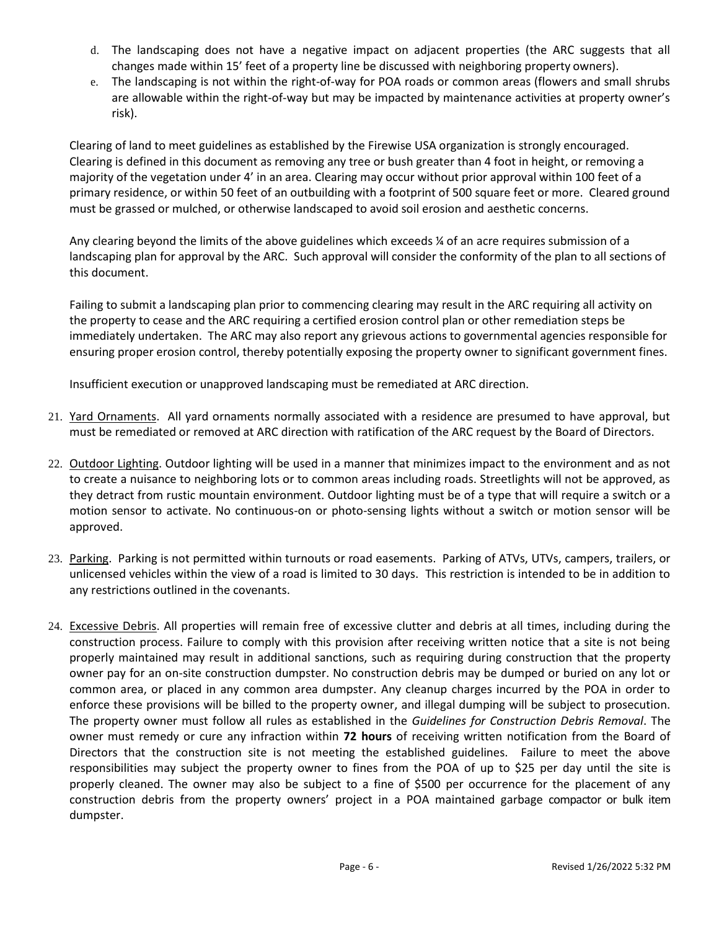- d. The landscaping does not have a negative impact on adjacent properties (the ARC suggests that all changes made within 15' feet of a property line be discussed with neighboring property owners).
- e. The landscaping is not within the right-of-way for POA roads or common areas (flowers and small shrubs are allowable within the right-of-way but may be impacted by maintenance activities at property owner's risk).

Clearing of land to meet guidelines as established by the Firewise USA organization is strongly encouraged. Clearing is defined in this document as removing any tree or bush greater than 4 foot in height, or removing a majority of the vegetation under 4' in an area. Clearing may occur without prior approval within 100 feet of a primary residence, or within 50 feet of an outbuilding with a footprint of 500 square feet or more. Cleared ground must be grassed or mulched, or otherwise landscaped to avoid soil erosion and aesthetic concerns.

Any clearing beyond the limits of the above guidelines which exceeds ¼ of an acre requires submission of a landscaping plan for approval by the ARC. Such approval will consider the conformity of the plan to all sections of this document.

Failing to submit a landscaping plan prior to commencing clearing may result in the ARC requiring all activity on the property to cease and the ARC requiring a certified erosion control plan or other remediation steps be immediately undertaken. The ARC may also report any grievous actions to governmental agencies responsible for ensuring proper erosion control, thereby potentially exposing the property owner to significant government fines.

Insufficient execution or unapproved landscaping must be remediated at ARC direction.

- 21. Yard Ornaments. All yard ornaments normally associated with a residence are presumed to have approval, but must be remediated or removed at ARC direction with ratification of the ARC request by the Board of Directors.
- 22. Outdoor Lighting. Outdoor lighting will be used in a manner that minimizes impact to the environment and as not to create a nuisance to neighboring lots or to common areas including roads. Streetlights will not be approved, as they detract from rustic mountain environment. Outdoor lighting must be of a type that will require a switch or a motion sensor to activate. No continuous-on or photo-sensing lights without a switch or motion sensor will be approved.
- 23. Parking. Parking is not permitted within turnouts or road easements. Parking of ATVs, UTVs, campers, trailers, or unlicensed vehicles within the view of a road is limited to 30 days. This restriction is intended to be in addition to any restrictions outlined in the covenants.
- 24. Excessive Debris. All properties will remain free of excessive clutter and debris at all times, including during the construction process. Failure to comply with this provision after receiving written notice that a site is not being properly maintained may result in additional sanctions, such as requiring during construction that the property owner pay for an on-site construction dumpster. No construction debris may be dumped or buried on any lot or common area, or placed in any common area dumpster. Any cleanup charges incurred by the POA in order to enforce these provisions will be billed to the property owner, and illegal dumping will be subject to prosecution. The property owner must follow all rules as established in the *Guidelines for Construction Debris Removal*. The owner must remedy or cure any infraction within **72 hours** of receiving written notification from the Board of Directors that the construction site is not meeting the established guidelines. Failure to meet the above responsibilities may subject the property owner to fines from the POA of up to \$25 per day until the site is properly cleaned. The owner may also be subject to a fine of \$500 per occurrence for the placement of any construction debris from the property owners' project in a POA maintained garbage compactor or bulk item dumpster.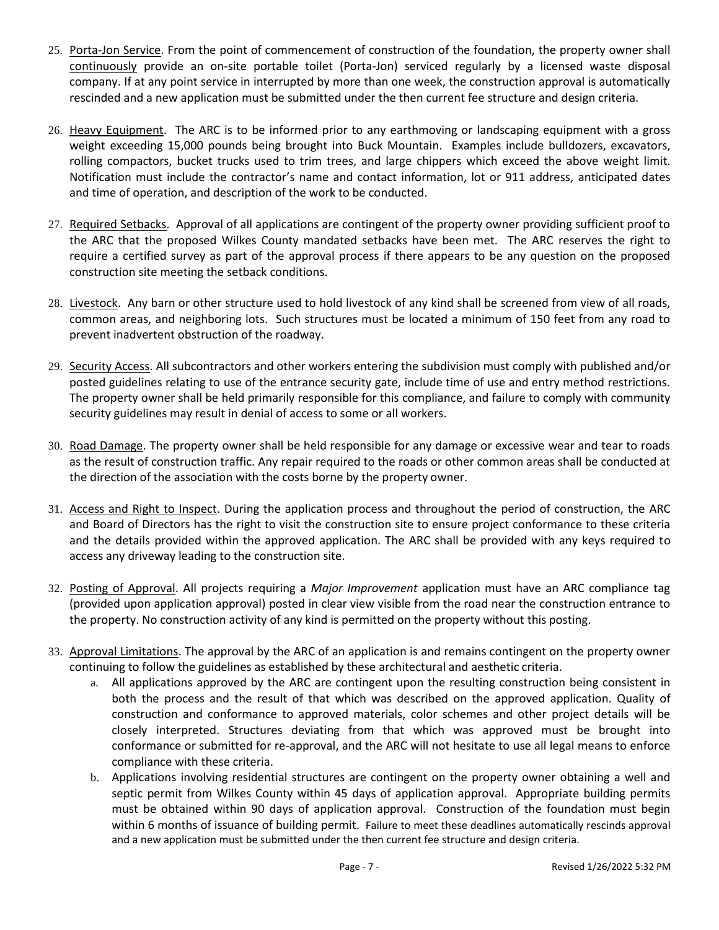- 25. Porta-Jon Service. From the point of commencement of construction of the foundation, the property owner shall continuously provide an on-site portable toilet (Porta-Jon) serviced regularly by a licensed waste disposal company. If at any point service in interrupted by more than one week, the construction approval is automatically rescinded and a new application must be submitted under the then current fee structure and design criteria.
- 26. Heavy Equipment. The ARC is to be informed prior to any earthmoving or landscaping equipment with a gross weight exceeding 15,000 pounds being brought into Buck Mountain. Examples include bulldozers, excavators, rolling compactors, bucket trucks used to trim trees, and large chippers which exceed the above weight limit. Notification must include the contractor's name and contact information, lot or 911 address, anticipated dates and time of operation, and description of the work to be conducted.
- 27. Required Setbacks. Approval of all applications are contingent of the property owner providing sufficient proof to the ARC that the proposed Wilkes County mandated setbacks have been met. The ARC reserves the right to require a certified survey as part of the approval process if there appears to be any question on the proposed construction site meeting the setback conditions.
- 28. Livestock. Any barn or other structure used to hold livestock of any kind shall be screened from view of all roads, common areas, and neighboring lots. Such structures must be located a minimum of 150 feet from any road to prevent inadvertent obstruction of the roadway.
- 29. Security Access. All subcontractors and other workers entering the subdivision must comply with published and/or posted guidelines relating to use of the entrance security gate, include time of use and entry method restrictions. The property owner shall be held primarily responsible for this compliance, and failure to comply with community security guidelines may result in denial of access to some or all workers.
- 30. Road Damage. The property owner shall be held responsible for any damage or excessive wear and tear to roads as the result of construction traffic. Any repair required to the roads or other common areas shall be conducted at the direction of the association with the costs borne by the property owner.
- 31. Access and Right to Inspect. During the application process and throughout the period of construction, the ARC and Board of Directors has the right to visit the construction site to ensure project conformance to these criteria and the details provided within the approved application. The ARC shall be provided with any keys required to access any driveway leading to the construction site.
- 32. Posting of Approval. All projects requiring a *Major Improvement* application must have an ARC compliance tag (provided upon application approval) posted in clear view visible from the road near the construction entrance to the property. No construction activity of any kind is permitted on the property without this posting.
- 33. Approval Limitations. The approval by the ARC of an application is and remains contingent on the property owner continuing to follow the guidelines as established by these architectural and aesthetic criteria.
	- a. All applications approved by the ARC are contingent upon the resulting construction being consistent in both the process and the result of that which was described on the approved application. Quality of construction and conformance to approved materials, color schemes and other project details will be closely interpreted. Structures deviating from that which was approved must be brought into conformance or submitted for re-approval, and the ARC will not hesitate to use all legal means to enforce compliance with these criteria.
	- b. Applications involving residential structures are contingent on the property owner obtaining a well and septic permit from Wilkes County within 45 days of application approval. Appropriate building permits must be obtained within 90 days of application approval. Construction of the foundation must begin within 6 months of issuance of building permit. Failure to meet these deadlines automatically rescinds approval and a new application must be submitted under the then current fee structure and design criteria.